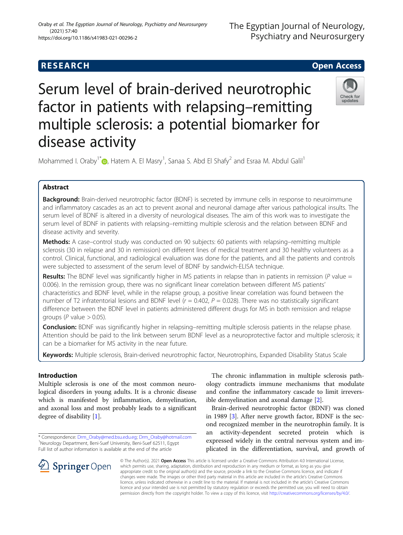## **RESEARCH CHE Open Access**

# Serum level of brain-derived neurotrophic factor in patients with relapsing–remitting multiple sclerosis: a potential biomarker for disease activity



Mohammed I. Oraby<sup>1\*</sup> [,](http://orcid.org/0000-0003-2071-3190) Hatem A. El Masry<sup>1</sup>, Sanaa S. Abd El Shafy<sup>2</sup> and Esraa M. Abdul Galil<sup>1</sup>

## Abstract

Background: Brain-derived neurotrophic factor (BDNF) is secreted by immune cells in response to neuroimmune and inflammatory cascades as an act to prevent axonal and neuronal damage after various pathological insults. The serum level of BDNF is altered in a diversity of neurological diseases. The aim of this work was to investigate the serum level of BDNF in patients with relapsing–remitting multiple sclerosis and the relation between BDNF and disease activity and severity.

Methods: A case–control study was conducted on 90 subjects: 60 patients with relapsing–remitting multiple sclerosis (30 in relapse and 30 in remission) on different lines of medical treatment and 30 healthy volunteers as a control. Clinical, functional, and radiological evaluation was done for the patients, and all the patients and controls were subjected to assessment of the serum level of BDNF by sandwich-ELISA technique.

Results: The BDNF level was significantly higher in MS patients in relapse than in patients in remission (P value = 0.006). In the remission group, there was no significant linear correlation between different MS patients' characteristics and BDNF level, while in the relapse group, a positive linear correlation was found between the number of T2 infratentorial lesions and BDNF level ( $r = 0.402$ ,  $P = 0.028$ ). There was no statistically significant difference between the BDNF level in patients administered different drugs for MS in both remission and relapse groups ( $P$  value  $> 0.05$ ).

Conclusion: BDNF was significantly higher in relapsing–remitting multiple sclerosis patients in the relapse phase. Attention should be paid to the link between serum BDNF level as a neuroprotective factor and multiple sclerosis; it can be a biomarker for MS activity in the near future.

Keywords: Multiple sclerosis, Brain-derived neurotrophic factor, Neurotrophins, Expanded Disability Status Scale

## Introduction

Multiple sclerosis is one of the most common neurological disorders in young adults. It is a chronic disease which is manifested by inflammation, demyelination, and axonal loss and most probably leads to a significant degree of disability [[1\]](#page-6-0).

The chronic inflammation in multiple sclerosis pathology contradicts immune mechanisms that modulate and confine the inflammatory cascade to limit irreversible demyelination and axonal damage [[2\]](#page-6-0).

Brain-derived neurotrophic factor (BDNF) was cloned in 1989 [\[3](#page-6-0)]. After nerve growth factor, BDNF is the second recognized member in the neurotrophin family. It is an activity-dependent secreted protein which is expressed widely in the central nervous system and implicated in the differentiation, survival, and growth of

© The Author(s). 2021 Open Access This article is licensed under a Creative Commons Attribution 4.0 International License, which permits use, sharing, adaptation, distribution and reproduction in any medium or format, as long as you give appropriate credit to the original author(s) and the source, provide a link to the Creative Commons licence, and indicate if changes were made. The images or other third party material in this article are included in the article's Creative Commons licence, unless indicated otherwise in a credit line to the material. If material is not included in the article's Creative Commons licence and your intended use is not permitted by statutory regulation or exceeds the permitted use, you will need to obtain permission directly from the copyright holder. To view a copy of this licence, visit <http://creativecommons.org/licenses/by/4.0/>.



<sup>\*</sup> Correspondence: [Drm\\_Oraby@med.bsu.edu.eg](mailto:Drm_Oraby@med.bsu.edu.eg); [Drm\\_Oraby@hotmail.com](mailto:Drm_Oraby@hotmail.com) <sup>1</sup> Neurology Department, Beni-Suef University, Beni-Suef 62511, Egypt Full list of author information is available at the end of the article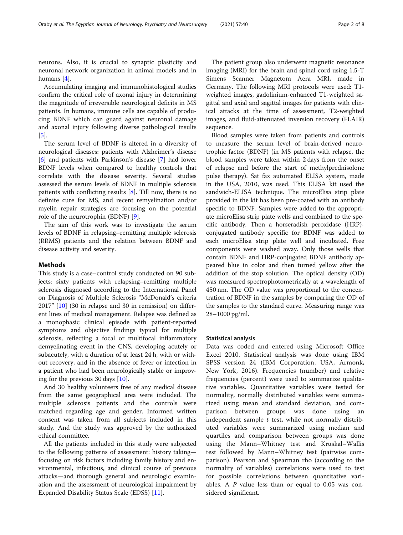neurons. Also, it is crucial to synaptic plasticity and neuronal network organization in animal models and in humans [\[4](#page-6-0)].

Accumulating imaging and immunohistological studies confirm the critical role of axonal injury in determining the magnitude of irreversible neurological deficits in MS patients. In humans, immune cells are capable of producing BDNF which can guard against neuronal damage and axonal injury following diverse pathological insults [[5\]](#page-6-0).

The serum level of BDNF is altered in a diversity of neurological diseases: patients with Alzheimer's disease [[6\]](#page-6-0) and patients with Parkinson's disease [[7](#page-6-0)] had lower BDNF levels when compared to healthy controls that correlate with the disease severity. Several studies assessed the serum levels of BDNF in multiple sclerosis patients with conflicting results [[8\]](#page-6-0). Till now, there is no definite cure for MS, and recent remyelination and/or myelin repair strategies are focusing on the potential role of the neurotrophin (BDNF) [\[9](#page-6-0)].

The aim of this work was to investigate the serum levels of BDNF in relapsing–remitting multiple sclerosis (RRMS) patients and the relation between BDNF and disease activity and severity.

#### Methods

This study is a case–control study conducted on 90 subjects: sixty patients with relapsing–remitting multiple sclerosis diagnosed according to the International Panel on Diagnosis of Multiple Sclerosis "McDonald's criteria 2017" [\[10](#page-6-0)] (30 in relapse and 30 in remission) on different lines of medical management. Relapse was defined as a monophasic clinical episode with patient-reported symptoms and objective findings typical for multiple sclerosis, reflecting a focal or multifocal inflammatory demyelinating event in the CNS, developing acutely or subacutely, with a duration of at least 24 h, with or without recovery, and in the absence of fever or infection in a patient who had been neurologically stable or improving for the previous 30 days [[10\]](#page-6-0).

And 30 healthy volunteers free of any medical disease from the same geographical area were included. The multiple sclerosis patients and the controls were matched regarding age and gender. Informed written consent was taken from all subjects included in this study. And the study was approved by the authorized ethical committee.

All the patients included in this study were subjected to the following patterns of assessment: history taking focusing on risk factors including family history and environmental, infectious, and clinical course of previous attacks—and thorough general and neurologic examination and the assessment of neurological impairment by Expanded Disability Status Scale (EDSS) [[11](#page-6-0)].

The patient group also underwent magnetic resonance imaging (MRI) for the brain and spinal cord using 1.5-T Simens Scanner Magnetom Aera MRI, made in Germany. The following MRI protocols were used: T1 weighted images, gadolinium-enhanced T1-weighted sagittal and axial and sagittal images for patients with clinical attacks at the time of assessment, T2-weighted images, and fluid-attenuated inversion recovery (FLAIR) sequence.

Blood samples were taken from patients and controls to measure the serum level of brain-derived neurotrophic factor (BDNF) (in MS patients with relapse, the blood samples were taken within 2 days from the onset of relapse and before the start of methylprednisolone pulse therapy). Sat fax automated ELISA system, made in the USA, 2010, was used. This ELISA kit used the sandwich-ELISA technique. The microElisa strip plate provided in the kit has been pre-coated with an antibody specific to BDNF. Samples were added to the appropriate microElisa strip plate wells and combined to the specific antibody. Then a horseradish peroxidase (HRP) conjugated antibody specific for BDNF was added to each microElisa strip plate well and incubated. Free components were washed away. Only those wells that contain BDNF and HRP-conjugated BDNF antibody appeared blue in color and then turned yellow after the addition of the stop solution. The optical density (OD) was measured spectrophotometrically at a wavelength of 450 nm. The OD value was proportional to the concentration of BDNF in the samples by comparing the OD of the samples to the standard curve. Measuring range was 28–1000 pg/ml.

#### Statistical analysis

Data was coded and entered using Microsoft Office Excel 2010. Statistical analysis was done using IBM SPSS version 24 (IBM Corporation, USA, Armonk, New York, 2016). Frequencies (number) and relative frequencies (percent) were used to summarize qualitative variables. Quantitative variables were tested for normality, normally distributed variables were summarized using mean and standard deviation, and comparison between groups was done using an independent sample  $t$  test, while not normally distributed variables were summarized using median and quartiles and comparison between groups was done using the Mann–Whitney test and Kruskal–Wallis test followed by Mann–Whitney test (pairwise comparison). Pearson and Spearman rho (according to the normality of variables) correlations were used to test for possible correlations between quantitative variables. A  $\dot{P}$  value less than or equal to 0.05 was considered significant.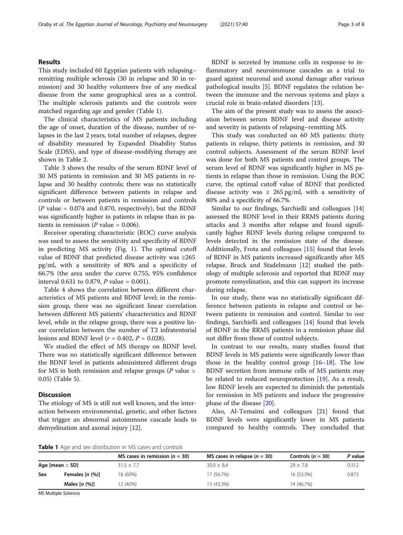#### Results

This study included 60 Egyptian patients with relapsing– remitting multiple sclerosis (30 in relapse and 30 in remission) and 30 healthy volunteers free of any medical disease from the same geographical area as a control. The multiple sclerosis patients and the controls were matched regarding age and gender (Table 1).

The clinical characteristics of MS patients including the age of onset, duration of the disease, number of relapses in the last 2 years, total number of relapses, degree of disability measured by Expanded Disability Status Scale (EDSS), and type of disease-modifying therapy are shown in Table [2.](#page-3-0)

Table [3](#page-3-0) shows the results of the serum BDNF level of 30 MS patients in remission and 30 MS patients in relapse and 30 healthy controls; there was no statistically significant difference between patients in relapse and controls or between patients in remission and controls ( $P$  value = 0.074 and 0.870, respectively), but the BDNF was significantly higher in patients in relapse than in patients in remission ( $P$  value = 0.006).

Receiver operating characteristic (ROC) curve analysis was used to assess the sensitivity and specificity of BDNF in predicting MS activity (Fig. [1](#page-4-0)). The optimal cutoff value of BDNF that predicted disease activity was ≥265 pg/ml, with a sensitivity of 80% and a specificity of 66.7% (the area under the curve 0.755, 95% confidence interval 0.631 to 0.879, *P* value = 0.001).

Table [4](#page-4-0) shows the correlation between different characteristics of MS patients and BDNF level; in the remission group, there was no significant linear correlation between different MS patients' characteristics and BDNF level, while in the relapse group, there was a positive linear correlation between the number of T2 infratentorial lesions and BDNF level ( $r = 0.402$ ,  $P = 0.028$ ).

We studied the effect of MS therapy on BDNF level. There was no statistically significant difference between the BDNF level in patients administered different drugs for MS in both remission and relapse groups ( $P$  value  $>$ 0.05) (Table [5\)](#page-5-0).

#### Discussion

The etiology of MS is still not well known, and the interaction between environmental, genetic, and other factors that trigger an abnormal autoimmune cascade leads to demyelination and axonal injury [[12\]](#page-6-0).

BDNF is secreted by immune cells in response to inflammatory and neuroimmune cascades as a trial to guard against neuronal and axonal damage after various pathological insults [\[5](#page-6-0)]. BDNF regulates the relation between the immune and the nervous systems and plays a crucial role in brain-related disorders [[13](#page-6-0)].

The aim of the present study was to assess the association between serum BDNF level and disease activity and severity in patients of relapsing–remitting MS.

This study was conducted on 60 MS patients: thirty patients in relapse, thirty patients in remission, and 30 control subjects. Assessment of the serum BDNF level was done for both MS patients and control groups. The serum level of BDNF was significantly higher in MS patients in relapse than those in remission. Using the ROC curve, the optimal cutoff value of BDNF that predicted disease activity was  $\geq 265$  pg/ml, with a sensitivity of 80% and a specificity of 66.7%.

Similar to our findings, Sarchielli and colleagues [[14](#page-6-0)] assessed the BDNF level in their RRMS patients during attacks and 3 months after relapse and found significantly higher BDNF levels during relapse compared to levels detected in the remission state of the disease. Additionally, Frota and colleagues [[15](#page-6-0)] found that levels of BDNF in MS patients increased significantly after MS relapse. Bruck and Stadelmann  $[12]$  studied the pathology of multiple sclerosis and reported that BDNF may promote remyelination, and this can support its increase during relapse.

In our study, there was no statistically significant difference between patients in relapse and control or between patients in remission and control. Similar to our findings, Sarchielli and colleagues [[14\]](#page-6-0) found that levels of BDNF in the RRMS patients in a remission phase did not differ from those of control subjects.

In contrast to our results, many studies found that BDNF levels in MS patients were significantly lower than those in the healthy control group  $[16–18]$  $[16–18]$  $[16–18]$ . The low BDNF secretion from immune cells of MS patients may be related to reduced neuroprotection [[19](#page-6-0)]. As a result, low BDNF levels are expected to diminish the potentials for remission in MS patients and induce the progressive phase of the disease [\[20\]](#page-6-0).

Also, Al-Temaimi and colleagues [\[21](#page-6-0)] found that BDNF levels were significantly lower in MS patients compared to healthy controls. They concluded that

Table 1 Age and sex distribution in MS cases and controls

|                     |                   | MS cases in remission ( $n = 30$ ) | MS cases in relapse $(n = 30)$ | Controls ( $n = 30$ ) | P value |
|---------------------|-------------------|------------------------------------|--------------------------------|-----------------------|---------|
| Age [mean $\pm$ SD] |                   | $31.5 \pm 7.7$                     | $30.9 + 8.4$                   | $79 + 7.8$            | 0.312   |
| Sex                 | Females $[n (%)]$ | 18 (60%)                           | 17 (56.7%)                     | 16 (53.3%)            | 0.873   |
|                     | Males $[n (%)]$   | 2(40%)                             | 13 (43.3%)                     | 14 (46.7%)            |         |

MS Multiple Sclerosis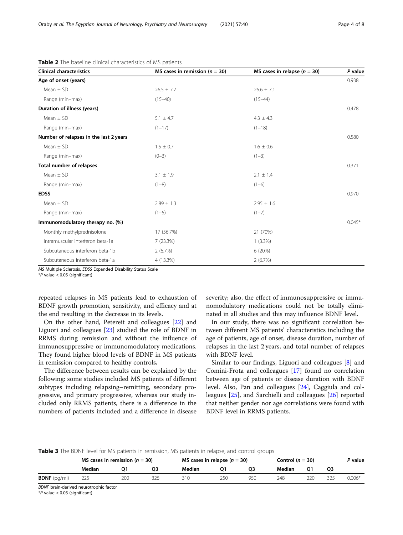| <b>Clinical characteristics</b>        | MS cases in remission ( $n = 30$ ) | MS cases in relapse $(n = 30)$ | P value  |  |
|----------------------------------------|------------------------------------|--------------------------------|----------|--|
| Age of onset (years)                   |                                    |                                | 0.938    |  |
| Mean $\pm$ SD                          | $26.5 \pm 7.7$                     | $26.6 \pm 7.1$                 |          |  |
| Range (min-max)                        | $(15 - 40)$                        | $(15 - 44)$                    |          |  |
| Duration of illness (years)            |                                    |                                | 0.478    |  |
| Mean $\pm$ SD                          | $5.1 \pm 4.7$                      | $4.3 \pm 4.3$                  |          |  |
| Range (min-max)                        | $(1-17)$                           | $(1-18)$                       |          |  |
| Number of relapses in the last 2 years |                                    |                                | 0.580    |  |
| Mean $\pm$ SD                          | $1.5 \pm 0.7$                      | $1.6 \pm 0.6$                  |          |  |
| Range (min-max)                        | $(0-3)$                            | $(1-3)$                        |          |  |
| <b>Total number of relapses</b>        |                                    |                                | 0.371    |  |
| Mean $\pm$ SD                          | $3.1 \pm 1.9$                      | $2.1 \pm 1.4$                  |          |  |
| Range (min-max)                        | $(1-8)$                            | $(1-6)$                        |          |  |
| <b>EDSS</b>                            |                                    |                                | 0.970    |  |
| Mean $\pm$ SD                          | $2.89 \pm 1.3$                     | $2.95 \pm 1.6$                 |          |  |
| Range (min-max)                        | $(1-5)$                            | $(1 - 7)$                      |          |  |
| Immunomodulatory therapy no. (%)       |                                    |                                | $0.045*$ |  |
| Monthly methylprednisolone             | 17 (56.7%)                         | 21 (70%)                       |          |  |
| Intramuscular interferon beta-1a       | 7 (23.3%)                          | $1(3.3\%)$                     |          |  |
| Subcutaneous interferon beta-1b        | 2(6.7%)                            | 6 (20%)                        |          |  |
| Subcutaneous interferon beta-1a        | 4 (13.3%)                          | 2(6.7%)                        |          |  |

<span id="page-3-0"></span>Table 2 The baseline clinical characteristics of MS patients

MS Multiple Sclerosis, EDSS Expanded Disability Status Scale

 $*P$  value  $< 0.05$  (significant)

repeated relapses in MS patients lead to exhaustion of BDNF growth promotion, sensitivity, and efficacy and at the end resulting in the decrease in its levels.

On the other hand, Petereit and colleagues [[22\]](#page-6-0) and Liguori and colleagues [[23](#page-6-0)] studied the role of BDNF in RRMS during remission and without the influence of immunosuppressive or immunomodulatory medications. They found higher blood levels of BDNF in MS patients in remission compared to healthy controls.

The difference between results can be explained by the following: some studies included MS patients of different subtypes including relapsing–remitting, secondary progressive, and primary progressive, whereas our study included only RRMS patients, there is a difference in the numbers of patients included and a difference in disease severity; also, the effect of immunosuppressive or immunomodulatory medications could not be totally eliminated in all studies and this may influence BDNF level.

In our study, there was no significant correlation between different MS patients' characteristics including the age of patients, age of onset, disease duration, number of relapses in the last 2 years, and total number of relapses with BDNF level.

Similar to our findings, Liguori and colleagues [\[8\]](#page-6-0) and Comini-Frota and colleagues [\[17](#page-6-0)] found no correlation between age of patients or disease duration with BDNF level. Also, Pan and colleagues [[24\]](#page-6-0), Caggiula and colleagues [\[25\]](#page-6-0), and Sarchielli and colleagues [\[26\]](#page-6-0) reported that neither gender nor age correlations were found with BDNF level in RRMS patients.

#### **Table 3** The BDNF level for MS patients in remission, MS patients in relapse, and control groups

|                       | MS cases in remission ( $n = 30$ ) |     |    | MS cases in relapse $(n = 30)$ |     |     | Control $(n = 30)$ |     |    | P value  |
|-----------------------|------------------------------------|-----|----|--------------------------------|-----|-----|--------------------|-----|----|----------|
|                       | Median                             |     | O3 | Median                         | Ο1  | OЗ  | Median             | Q۱  | Q3 |          |
| <b>BDNF</b> $(pq/ml)$ | 225                                | 200 |    | 310                            | 250 | 950 | 248                | 220 |    | $0.006*$ |

BDNF brain-derived neurotrophic factor

 $*P$  value  $< 0.05$  (significant)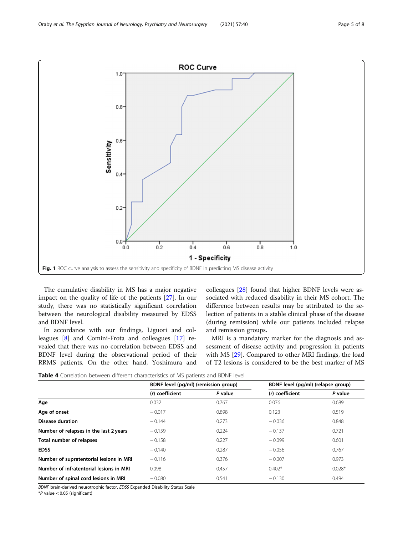<span id="page-4-0"></span>

The cumulative disability in MS has a major negative impact on the quality of life of the patients [\[27](#page-6-0)]. In our study, there was no statistically significant correlation between the neurological disability measured by EDSS and BDNF level.

In accordance with our findings, Liguori and colleagues [[8\]](#page-6-0) and Comini-Frota and colleagues [\[17](#page-6-0)] revealed that there was no correlation between EDSS and BDNF level during the observational period of their RRMS patients. On the other hand, Yoshimura and colleagues [\[28](#page-6-0)] found that higher BDNF levels were associated with reduced disability in their MS cohort. The difference between results may be attributed to the selection of patients in a stable clinical phase of the disease (during remission) while our patients included relapse and remission groups.

MRI is a mandatory marker for the diagnosis and assessment of disease activity and progression in patients with MS [[29\]](#page-7-0). Compared to other MRI findings, the load of T2 lesions is considered to be the best marker of MS

Table 4 Correlation between different characteristics of MS patients and BDNF level

|                                         | BDNF level (pg/ml) (remission group) |         | BDNF level (pg/ml) (relapse group) |          |  |  |
|-----------------------------------------|--------------------------------------|---------|------------------------------------|----------|--|--|
|                                         | (r) coefficient                      | P value | (r) coefficient                    | P value  |  |  |
| Age                                     | 0.032                                | 0.767   | 0.076                              | 0.689    |  |  |
| Age of onset                            | $-0.017$                             | 0.898   | 0.123                              | 0.519    |  |  |
| <b>Disease duration</b>                 | $-0.144$                             | 0.273   | $-0.036$                           | 0.848    |  |  |
| Number of relapses in the last 2 years  | $-0.159$                             | 0.224   | $-0.137$                           | 0.721    |  |  |
| Total number of relapses                | $-0.158$                             | 0.227   | $-0.099$                           | 0.601    |  |  |
| <b>EDSS</b>                             | $-0.140$                             | 0.287   | $-0.056$                           | 0.767    |  |  |
| Number of supratentorial lesions in MRI | $-0.116$                             | 0.376   | $-0.007$                           | 0.973    |  |  |
| Number of infratentorial lesions in MRI | 0.098                                | 0.457   | $0.402*$                           | $0.028*$ |  |  |
| Number of spinal cord lesions in MRI    | $-0.080$                             | 0.541   | $-0.130$                           | 0.494    |  |  |

BDNF brain-derived neurotrophic factor, EDSS Expanded Disability Status Scale

\*P value < 0.05 (significant)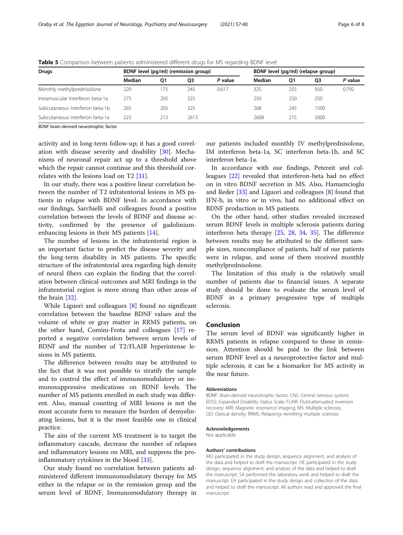| <b>Drugs</b>                     | BDNF level (pq/ml) (remission group) |     |      |         | BDNF level (pg/ml) (relapse group) |     |      |         |
|----------------------------------|--------------------------------------|-----|------|---------|------------------------------------|-----|------|---------|
|                                  | Median                               | O1  | O3   | P value | Median                             | Q1  | Q3   | P value |
| Monthly methylprednisolone       | 220                                  | 75  | 245  | 0.617   | 325                                | 255 | 950  | 0.792   |
| Intramuscular Interferon beta-1a | 275                                  | 205 | 325  |         | 250                                | 250 | 250  |         |
| Subcutaneous Interferon beta-1b  | 265                                  | 205 | 325  |         | 268                                | 245 | 1500 |         |
| Subcutaneous interferon beta-1a  | 223                                  | 213 | 2613 |         | 2608                               | 215 | 5000 |         |

<span id="page-5-0"></span>Table 5 Comparison between patients administered different drugs for MS regarding BDNF level

BDNF brain-derived neurotrophic factor

activity and in long-term follow-up; it has a good correlation with disease severity and disability [\[30](#page-7-0)]. Mechanisms of neuronal repair act up to a threshold above which the repair cannot continue and this threshold correlates with the lesions load on T2 [\[31](#page-7-0)].

In our study, there was a positive linear correlation between the number of T2 infratentorial lesions in MS patients in relapse with BDNF level. In accordance with our findings, Sarchielli and colleagues found a positive correlation between the levels of BDNF and disease activity, confirmed by the presence of gadoliniumenhancing lesions in their MS patients [\[14](#page-6-0)].

The number of lesions in the infratentorial region is an important factor to predict the disease severity and the long-term disability in MS patients. The specific structure of the infratentorial area regarding high density of neural fibers can explain the finding that the correlation between clinical outcomes and MRI findings in the infratentorial region is more strong than other areas of the brain [[32\]](#page-7-0).

While Liguori and colleagues [\[8](#page-6-0)] found no significant correlation between the baseline BDNF values and the volume of white or gray matter in RRMS patients, on the other hand, Comini-Frota and colleagues [[17](#page-6-0)] reported a negative correlation between serum levels of BDNF and the number of T2/FLAIR hyperintense lesions in MS patients.

The difference between results may be attributed to the fact that it was not possible to stratify the sample and to control the effect of immunomodulatory or immunosuppressive medications on BDNF levels. The number of MS patients enrolled in each study was different. Also, manual counting of MRI lesions is not the most accurate form to measure the burden of demyelinating lesions, but it is the most feasible one in clinical practice.

The aim of the current MS treatment is to target the inflammatory cascade, decrease the number of relapses and inflammatory lesions on MRI, and suppress the proinflammatory cytokines in the blood [[33](#page-7-0)].

Our study found no correlation between patients administered different immunomodulatory therapy for MS either in the relapse or in the remission group and the serum level of BDNF. Immunomodulatory therapy in

our patients included monthly IV methylprednisolone, IM interferon beta-1a, SC interferon beta-1b, and SC interferon beta-1a.

In accordance with our findings, Petereit and colleagues [[22](#page-6-0)] revealed that interferon-beta had no effect on in vitro BDNF secretion in MS. Also, Hamamcioglu and Reder [[33](#page-7-0)] and Liguori and colleagues [[8](#page-6-0)] found that IFN-b, in vitro or in vivo, had no additional effect on BDNF production in MS patients.

On the other hand, other studies revealed increased serum BDNF levels in multiple sclerosis patients during interferon beta therapy [\[25](#page-6-0), [28](#page-6-0), [34,](#page-7-0) [35](#page-7-0)]. The difference between results may be attributed to the different sample sizes, noncompliance of patients, half of our patients were in relapse, and some of them received monthly methylprednisolone.

The limitation of this study is the relatively small number of patients due to financial issues. A separate study should be done to evaluate the serum level of BDNF in a primary progressive type of multiple sclerosis.

#### Conclusion

The serum level of BDNF was significantly higher in RRMS patients in relapse compared to those in remission. Attention should be paid to the link between serum BDNF level as a neuroprotective factor and multiple sclerosis; it can be a biomarker for MS activity in the near future.

#### Abbreviations

BDNF: Brain-derived neurotrophic factor; CNS: Central nervous system; EDSS: Expanded Disability Status Scale; FLAIR: Fluid-attenuated inversion recovery; MRI: Magnetic resonance imaging; MS: Multiple sclerosis; OD: Optical density; RRMS: Relapsing–remitting multiple sclerosis

#### Acknowledgements

Not applicable

#### Authors' contributions

MO participated in the study design, sequence alignment, and analysis of the data and helped to draft the manuscript. HE participated in the study design, sequence alignment, and analysis of the data and helped to draft the manuscript. SA performed the laboratory work and helped to draft the manuscript. EA participated in the study design and collection of the data and helped to draft the manuscript. All authors read and approved the final manuscript.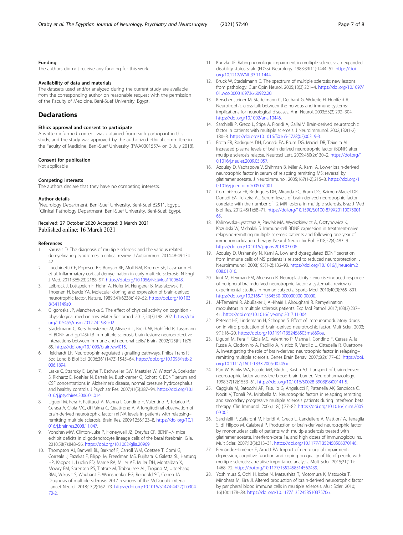#### <span id="page-6-0"></span>Funding

The authors did not receive any funding for this work.

#### Availability of data and materials

The datasets used and/or analyzed during the current study are available from the corresponding author on reasonable request with the permission of the Faculty of Medicine, Beni-Suef University, Egypt.

### **Declarations**

#### Ethics approval and consent to participate

A written informed consent was obtained from each participant in this study, and the study was approved by the authorized ethical committee in the Faculty of Medicine, Beni-Suef University (FWA00015574 on 3 July 2018).

#### Consent for publication

Not applicable

#### Competing interests

The authors declare that they have no competing interests.

#### Author details

<sup>1</sup>Neurology Department, Beni-Suef University, Beni-Suef 62511, Egypt. <sup>2</sup>Clinical Pathology Department, Beni-Suef University, Beni-Suef, Egypt.

### Received: 27 October 2020 Accepted: 3 March 2021 Published online: 16 March 2021

#### References

- Karussis D. The diagnosis of multiple sclerosis and the various related demyelinating syndromes: a critical review. J Autoimmun. 2014;48-49:134– 42.
- 2. Lucchinetti CF, Popescu BF, Bunyan RF, Moll NM, Roemer SF, Lassmann H, et al. Inflammatory cortical demyelination in early multiple sclerosis. N Engl J Med. 2011;365(23):2188–97. <https://doi.org/10.1056/NEJMoa1100648>.
- 3. Leibrock J, Lottspeich F, Hohn A, Hofer M, Hengerer B, Masiakowski P, Thoenen H, Barde YA. Molecular cloning and expression of brain-derived neurotrophic factor. Nature. 1989;341(6238):149–52. [https://doi.org/10.103](https://doi.org/10.1038/341149a0) [8/341149a0.](https://doi.org/10.1038/341149a0)
- 4. Gligoroska JP, Manchevska S. The effect of physical activity on cognition physiological mechanisms. Mater Sociomed. 2012;24(3):198–202. [https://doi.](https://doi.org/10.5455/msm.2012.24.198-202) [org/10.5455/msm.2012.24.198-202.](https://doi.org/10.5455/msm.2012.24.198-202)
- 5. Stadelmann C, Kerschensteiner M, Misgeld T, Brück W, Hohlfeld R, Lassmann H. BDNF and gp145trkB in multiple sclerosis brain lesions: neuroprotective interactions between immune and neuronal cells? Brain. 2002;125(Pt 1):75– 85. <https://doi.org/10.1093/brain/awf015>.
- 6. Reichardt LF. Neurotrophin-regulated signalling pathways. Philos Trans R Soc Lond B Biol Sci. 2006;361(1473):1545–64. [https://doi.org/10.1098/rstb.2](https://doi.org/10.1098/rstb.2006.1894) [006.1894.](https://doi.org/10.1098/rstb.2006.1894)
- 7. Laske C, Stransky E, Leyhe T, Eschweiler GW, Maetzler W, Wittorf A, Soekadar S, Richartz E, Koehler N, Bartels M, Buchkremer G, Schott K. BDNF serum and CSF concentrations in Alzheimer's disease, normal pressure hydrocephalus and healthy controls. J Psychiatr Res. 2007;41(5):387–94. [https://doi.org/10.1](https://doi.org/10.1016/j.jpsychires.2006.01.014) [016/j.jpsychires.2006.01.014.](https://doi.org/10.1016/j.jpsychires.2006.01.014)
- 8. Liguori M, Fera F, Patitucci A, Manna I, Condino F, Valentino P, Telarico P, Cerasa A, Gioia MC, di Palma G, Quattrone A. A longitudinal observation of brain-derived neurotrophic factor mRNA levels in patients with relapsing– remitting multiple sclerosis. Brain Res. 2009;1256:123–8. [https://doi.org/10.1](https://doi.org/10.1016/j.brainres.2008.11.047) [016/j.brainres.2008.11.047.](https://doi.org/10.1016/j.brainres.2008.11.047)
- 9. Vondran MW, Clinton-Luke P, Honeywell JZ, Dreyfus CF. BDNF+/- mice exhibit deficits in oligodendrocyte lineage cells of the basal forebrain. Glia. 2010;58(7):848–56. <https://doi.org/10.1002/glia.20969>.
- 10. Thompson AJ, Banwell BL, Barkhof F, Carroll WM, Coetzee T, Comi G, Correale J, Fazekas F, Filippi M, Freedman MS, Fujihara K, Galetta SL, Hartung HP, Kappos L, Lublin FD, Marrie RA, Miller AE, Miller DH, Montalban X, Mowry EM, Sorensen PS, Tintoré M, Traboulsee AL, Trojano M, Uitdehaag BMJ, Vukusic S, Waubant E, Weinshenker BG, Reingold SC, Cohen JA. Diagnosis of multiple sclerosis: 2017 revisions of the McDonald criteria. Lancet Neurol. 2018;17(2):162–73. [https://doi.org/10.1016/S1474-4422\(17\)304](https://doi.org/10.1016/S1474-4422(17)30470-2) [70-2](https://doi.org/10.1016/S1474-4422(17)30470-2).
- 11 Kurtzke JF. Rating neurologic impairment in multiple sclerosis: an expanded disability status scale (EDSS). Neurology. 1983;33(11):1444–52. [https://doi.](https://doi.org/10.1212/WNL.33.11.1444) [org/10.1212/WNL.33.11.1444](https://doi.org/10.1212/WNL.33.11.1444).
- 12. Bruck W, Stadelmann C. The spectrum of multiple sclerosis: new lessons from pathology. Curr Opin Neurol. 2005;18(3):221–4. [https://doi.org/10.1097/](https://doi.org/10.1097/01.wco.0000169736.60922.20) [01.wco.0000169736.60922.20](https://doi.org/10.1097/01.wco.0000169736.60922.20).
- 13. Kerschensteiner M, Stadelmann C, Dechant G, Wekerle H, Hohlfeld R. Neurotrophic cross-talk between the nervous and immune systems: implications for neurological diseases. Ann Neurol. 2003;53(3):292–304. <https://doi.org/10.1002/ana.10446>.
- 14. Sarchielli P, Greco L, Stipa A, Floridi A, Gallai V. Brain-derived neurotrophic factor in patients with multiple sclerosis. J Neuroimmunol. 2002;132(1-2): 180–8. [https://doi.org/10.1016/S0165-5728\(02\)00319-3](https://doi.org/10.1016/S0165-5728(02)00319-3).
- 15. Frota ER, Rodrigues DH, Donadi EA, Brum DG, Maciel DR, Teixeira AL. Increased plasma levels of brain derived neurotrophic factor (BDNF) after multiple sclerosis relapse. Neurosci Lett. 2009;460(2):130–2. [https://doi.org/1](https://doi.org/10.1016/j.neulet.2009.05.057) [0.1016/j.neulet.2009.05.057](https://doi.org/10.1016/j.neulet.2009.05.057).
- 16. Azoulay D, Vachapova V, Shihman B, Miler A, Karni A. Lower brain-derived neurotrophic factor in serum of relapsing remitting MS: reversal by glatiramer acetate. J Neuroimmunol. 2005;167(1-2):215–8. [https://doi.org/1](https://doi.org/10.1016/j.jneuroim.2005.07.001) [0.1016/j.jneuroim.2005.07.001.](https://doi.org/10.1016/j.jneuroim.2005.07.001)
- 17. Comini-Frota ER, Rodrigues DH, Miranda EC, Brum DG, Kaimen-Maciel DR, Donadi EA, Teixeira AL. Serum levels of brain-derived neurotrophic factor correlate with the number of T2 MRI lesions in multiple sclerosis. Braz J Med Biol Res. 2012;45(1):68–71. [https://doi.org/10.1590/S0100-879X20110075001](https://doi.org/10.1590/S0100-879X2011007500165) [65.](https://doi.org/10.1590/S0100-879X2011007500165)
- 18. Kalinowska-Łyszczarz A, Pawlak MA, Wyciszkiewicz A, Osztynowicz K, Kozubski W, Michalak S. Immune-cell BDNF expression in treatment-naïve relapsing-remitting multiple sclerosis patients and following one year of immunomodulation therapy. Neurol Neurochir Pol. 2018;52(4):483–9. <https://doi.org/10.1016/j.pjnns.2018.03.006>.
- 19. Azoulay D, Urshansky N, Karni A. Low and dysregulated BDNF secretion from immune cells of MS patients is related to reduced neuroprotection. J Neuroimmunol. 2008;195(1-2):186–93. [https://doi.org/10.1016/j.jneuroim.2](https://doi.org/10.1016/j.jneuroim.2008.01.010) [008.01.010](https://doi.org/10.1016/j.jneuroim.2008.01.010).
- 20. kint M, Heyman EM, Meeusen R. Neuroplasticity exercise-induced response of peripheral brain-derived neurotrophic factor: a systematic review of experimental studies in human subjects. Sports Med. 2010;40(9):765–801. <https://doi.org/10.2165/11534530-000000000-00000>.
- 21. Al-Temaimi R, AbuBaker J, Al-Khairi I, Alroughani R. Remyelination modulators in multiple sclerosis patients. Exp Mol Pathol. 2017;103(3):237– 41. <https://doi.org/10.1016/j.yexmp.2017.11.004>.
- 22. Petereit HF, Lindemann H, Schoppe S. Effect of immunomodulatory drugs on in vitro production of brain-derived neurotrophic factor. Mult Scler. 2003; 9(1):16–20. [https://doi.org/10.1191/1352458503ms869oa.](https://doi.org/10.1191/1352458503ms869oa)
- 23. Liguori M, Fera F, Gioia MC, Valentino P, Manna I, Condino F, Cerasa A, la Russa A, Clodomiro A, Paolillo A, Nisticò R, Vercillo L, Cittadella R, Quattrone A. Investigating the role of brain-derived neurotrophic factor in relapsing– remitting multiple sclerosis. Genes Brain Behav. 2007;6(2):177–83. [https://doi.](https://doi.org/10.1111/j.1601-183X.2006.00245.x) [org/10.1111/j.1601-183X.2006.00245.x.](https://doi.org/10.1111/j.1601-183X.2006.00245.x)
- 24. Pan W, Banks WA, Fasold MB, Bluth J, Kastin AJ. Transport of brain-derived neurotrophic factor across the blood-brain barrier. Neuropharmacology. 1998;37(12):1553–61. [https://doi.org/10.1016/S0028-3908\(98\)00141-5](https://doi.org/10.1016/S0028-3908(98)00141-5).
- 25. Caggiula M, Batocchi AP, Frisullo G, Angelucci F, Patanella AK, Sancricca C, Nociti V, Tonali PA, Mirabella M. Neurotrophic factors in relapsing remitting and secondary progressive multiple sclerosis patients during interferon beta therapy. Clin Immunol. 2006;118(1):77–82. [https://doi.org/10.1016/j.clim.2005.](https://doi.org/10.1016/j.clim.2005.09.005) [09.005.](https://doi.org/10.1016/j.clim.2005.09.005)
- 26. Sarchielli P, Zaffaroni M, Floridi A, Greco L, Candeliere A, Mattioni A, Tenaglia S, di Filippo M, Calabresi P. Production of brain-derived neurotrophic factor by mononuclear cells of patients with multiple sclerosis treated with glatiramer acetate, interferon-beta 1a, and high doses of immunoglobulins. Mult Scler. 2007;13(3):313–31. <https://doi.org/10.1177/1352458506070146>.
- 27. Fernández-Jiménez E, Arnett PA. Impact of neurological impairment, depression, cognitive function and coping on quality of life of people with multiple sclerosis: a relative importance analysis. Mult Scler. 2015;21(11): 1468–72. [https://doi.org/10.1177/1352458514562439.](https://doi.org/10.1177/1352458514562439)
- 28. Yoshimura S, Ochi H, Isobe N, Matsushita T, Motomura K, Matsuoka T, Minohara M, Kira JI. Altered production of brain-derived neurotrophic factor by peripheral blood immune cells in multiple sclerosis. Mult Scler. 2010; 16(10):1178–88. <https://doi.org/10.1177/1352458510375706>.